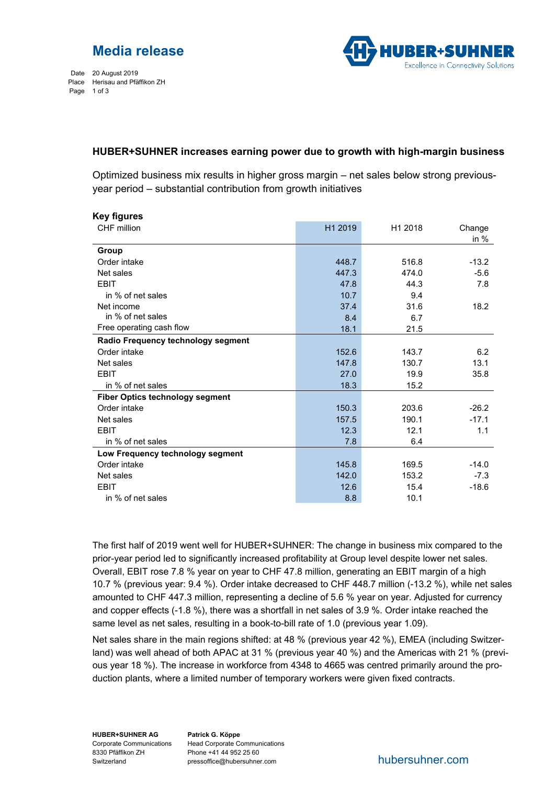

Date 20 August 2019 Place Herisau and Pfäffikon ZH Page 1 of 3



## **HUBER+SUHNER increases earning power due to growth with high-margin business**

Optimized business mix results in higher gross margin – net sales below strong previousyear period – substantial contribution from growth initiatives

| <b>Key figures</b>                     |         |         |         |
|----------------------------------------|---------|---------|---------|
| CHF million                            | H1 2019 | H1 2018 | Change  |
|                                        |         |         | in $%$  |
| Group                                  |         |         |         |
| Order intake                           | 448.7   | 516.8   | $-13.2$ |
| Net sales                              | 447.3   | 474.0   | $-5.6$  |
| <b>EBIT</b>                            | 47.8    | 44.3    | 7.8     |
| in % of net sales                      | 10.7    | 9.4     |         |
| Net income                             | 37.4    | 31.6    | 18.2    |
| in % of net sales                      | 8.4     | 6.7     |         |
| Free operating cash flow               | 18.1    | 21.5    |         |
| Radio Frequency technology segment     |         |         |         |
| Order intake                           | 152.6   | 143.7   | 6.2     |
| Net sales                              | 147.8   | 130.7   | 13.1    |
| <b>EBIT</b>                            | 27.0    | 19.9    | 35.8    |
| in % of net sales                      | 18.3    | 15.2    |         |
| <b>Fiber Optics technology segment</b> |         |         |         |
| Order intake                           | 150.3   | 203.6   | $-26.2$ |
| Net sales                              | 157.5   | 190.1   | $-17.1$ |
| <b>EBIT</b>                            | 12.3    | 12.1    | 1.1     |
| in % of net sales                      | 7.8     | 6.4     |         |
| Low Frequency technology segment       |         |         |         |
| Order intake                           | 145.8   | 169.5   | $-14.0$ |
| Net sales                              | 142.0   | 153.2   | $-7.3$  |
| <b>EBIT</b>                            | 12.6    | 15.4    | $-18.6$ |
| in % of net sales                      | 8.8     | 10.1    |         |

The first half of 2019 went well for HUBER+SUHNER: The change in business mix compared to the prior-year period led to significantly increased profitability at Group level despite lower net sales. Overall, EBIT rose 7.8 % year on year to CHF 47.8 million, generating an EBIT margin of a high 10.7 % (previous year: 9.4 %). Order intake decreased to CHF 448.7 million (-13.2 %), while net sales amounted to CHF 447.3 million, representing a decline of 5.6 % year on year. Adjusted for currency and copper effects (-1.8 %), there was a shortfall in net sales of 3.9 %. Order intake reached the same level as net sales, resulting in a book-to-bill rate of 1.0 (previous year 1.09).

Net sales share in the main regions shifted: at 48 % (previous year 42 %), EMEA (including Switzerland) was well ahead of both APAC at 31 % (previous year 40 %) and the Americas with 21 % (previous year 18 %). The increase in workforce from 4348 to 4665 was centred primarily around the production plants, where a limited number of temporary workers were given fixed contracts.

**HUBER+SUHNER AG**  8330 Pfäffikon ZH Switzerland

Corporate Communications Head Corporate Communications **Patrick G. Köppe**  Phone +41 44 952 25 60 pressoffice@hubersuhner.com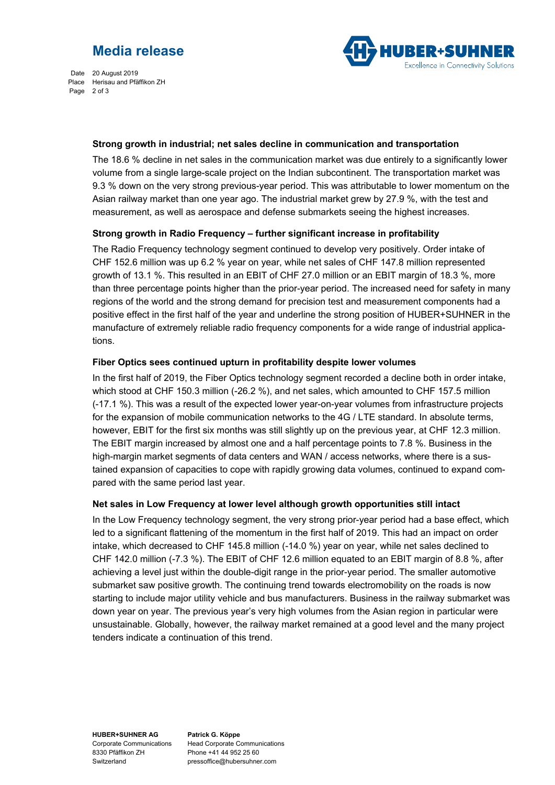Date 20 August 2019 Place Herisau and Pfäffikon ZH Page 2 of 3



#### **Strong growth in industrial; net sales decline in communication and transportation**

The 18.6 % decline in net sales in the communication market was due entirely to a significantly lower volume from a single large-scale project on the Indian subcontinent. The transportation market was 9.3 % down on the very strong previous-year period. This was attributable to lower momentum on the Asian railway market than one year ago. The industrial market grew by 27.9 %, with the test and measurement, as well as aerospace and defense submarkets seeing the highest increases.

### **Strong growth in Radio Frequency – further significant increase in profitability**

The Radio Frequency technology segment continued to develop very positively. Order intake of CHF 152.6 million was up 6.2 % year on year, while net sales of CHF 147.8 million represented growth of 13.1 %. This resulted in an EBIT of CHF 27.0 million or an EBIT margin of 18.3 %, more than three percentage points higher than the prior-year period. The increased need for safety in many regions of the world and the strong demand for precision test and measurement components had a positive effect in the first half of the year and underline the strong position of HUBER+SUHNER in the manufacture of extremely reliable radio frequency components for a wide range of industrial applications.

### **Fiber Optics sees continued upturn in profitability despite lower volumes**

In the first half of 2019, the Fiber Optics technology segment recorded a decline both in order intake, which stood at CHF 150.3 million (-26.2 %), and net sales, which amounted to CHF 157.5 million (-17.1 %). This was a result of the expected lower year-on-year volumes from infrastructure projects for the expansion of mobile communication networks to the 4G / LTE standard. In absolute terms, however, EBIT for the first six months was still slightly up on the previous year, at CHF 12.3 million. The EBIT margin increased by almost one and a half percentage points to 7.8 %. Business in the high-margin market segments of data centers and WAN / access networks, where there is a sustained expansion of capacities to cope with rapidly growing data volumes, continued to expand compared with the same period last year.

### **Net sales in Low Frequency at lower level although growth opportunities still intact**

In the Low Frequency technology segment, the very strong prior-year period had a base effect, which led to a significant flattening of the momentum in the first half of 2019. This had an impact on order intake, which decreased to CHF 145.8 million (-14.0 %) year on year, while net sales declined to CHF 142.0 million (-7.3 %). The EBIT of CHF 12.6 million equated to an EBIT margin of 8.8 %, after achieving a level just within the double-digit range in the prior-year period. The smaller automotive submarket saw positive growth. The continuing trend towards electromobility on the roads is now starting to include major utility vehicle and bus manufacturers. Business in the railway submarket was down year on year. The previous year's very high volumes from the Asian region in particular were unsustainable. Globally, however, the railway market remained at a good level and the many project tenders indicate a continuation of this trend.

**HUBER+SUHNER AG**  Corporate Communications 8330 Pfäffikon ZH Switzerland

**Patrick G. Köppe**  Head Corporate Communications Phone +41 44 952 25 60 pressoffice@hubersuhner.com